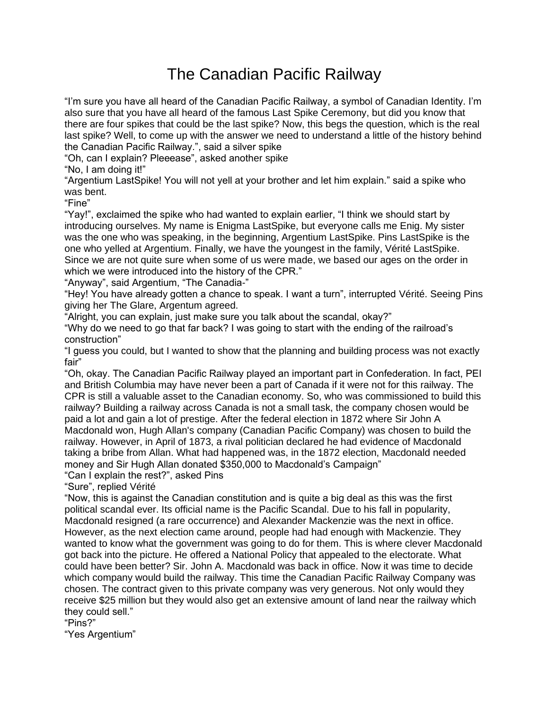## The Canadian Pacific Railway

"I'm sure you have all heard of the Canadian Pacific Railway, a symbol of Canadian Identity. I'm also sure that you have all heard of the famous Last Spike Ceremony, but did you know that there are four spikes that could be the last spike? Now, this begs the question, which is the real last spike? Well, to come up with the answer we need to understand a little of the history behind the Canadian Pacific Railway.", said a silver spike

"Oh, can I explain? Pleeease", asked another spike

"No, I am doing it!"

"Argentium LastSpike! You will not yell at your brother and let him explain." said a spike who was bent.

"Fine"

"Yay!", exclaimed the spike who had wanted to explain earlier, "I think we should start by introducing ourselves. My name is Enigma LastSpike, but everyone calls me Enig. My sister was the one who was speaking, in the beginning, Argentium LastSpike. Pins LastSpike is the one who yelled at Argentium. Finally, we have the youngest in the family, Vérité LastSpike. Since we are not quite sure when some of us were made, we based our ages on the order in which we were introduced into the history of the CPR."

"Anyway", said Argentium, "The Canadia-"

"Hey! You have already gotten a chance to speak. I want a turn", interrupted Vérité. Seeing Pins giving her The Glare, Argentum agreed.

"Alright, you can explain, just make sure you talk about the scandal, okay?"

"Why do we need to go that far back? I was going to start with the ending of the railroad's construction"

"I guess you could, but I wanted to show that the planning and building process was not exactly fair"

"Oh, okay. The Canadian Pacific Railway played an important part in Confederation. In fact, PEI and British Columbia may have never been a part of Canada if it were not for this railway. The CPR is still a valuable asset to the Canadian economy. So, who was commissioned to build this railway? Building a railway across Canada is not a small task, the company chosen would be paid a lot and gain a lot of prestige. After the federal election in 1872 where Sir John A Macdonald won, Hugh Allan's company (Canadian Pacific Company) was chosen to build the railway. However, in April of 1873, a rival politician declared he had evidence of Macdonald taking a bribe from Allan. What had happened was, in the 1872 election, Macdonald needed money and Sir Hugh Allan donated \$350,000 to Macdonald's Campaign"

"Can I explain the rest?", asked Pins

"Sure", replied Vérité

"Now, this is against the Canadian constitution and is quite a big deal as this was the first political scandal ever. Its official name is the Pacific Scandal. Due to his fall in popularity, Macdonald resigned (a rare occurrence) and Alexander Mackenzie was the next in office. However, as the next election came around, people had had enough with Mackenzie. They wanted to know what the government was going to do for them. This is where clever Macdonald got back into the picture. He offered a National Policy that appealed to the electorate. What could have been better? Sir. John A. Macdonald was back in office. Now it was time to decide which company would build the railway. This time the Canadian Pacific Railway Company was chosen. The contract given to this private company was very generous. Not only would they receive \$25 million but they would also get an extensive amount of land near the railway which they could sell."

"Pins?"

"Yes Argentium"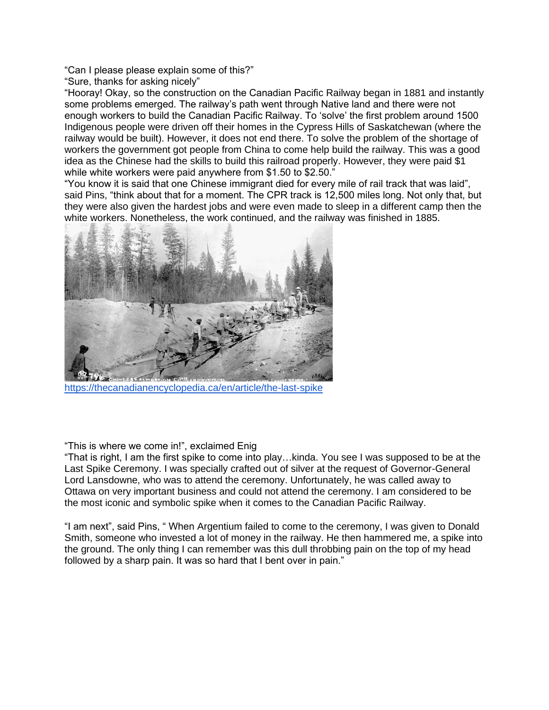"Can I please please explain some of this?"

"Sure, thanks for asking nicely"

"Hooray! Okay, so the construction on the Canadian Pacific Railway began in 1881 and instantly some problems emerged. The railway's path went through Native land and there were not enough workers to build the Canadian Pacific Railway. To 'solve' the first problem around 1500 Indigenous people were driven off their homes in the Cypress Hills of Saskatchewan (where the railway would be built). However, it does not end there. To solve the problem of the shortage of workers the government got people from China to come help build the railway. This was a good idea as the Chinese had the skills to build this railroad properly. However, they were paid \$1 while white workers were paid anywhere from \$1.50 to \$2.50."

"You know it is said that one Chinese immigrant died for every mile of rail track that was laid", said Pins, "think about that for a moment. The CPR track is 12,500 miles long. Not only that, but they were also given the hardest jobs and were even made to sleep in a different camp then the white workers. Nonetheless, the work continued, and the railway was finished in 1885.



<https://thecanadianencyclopedia.ca/en/article/the-last-spike>

"This is where we come in!", exclaimed Enig

"That is right, I am the first spike to come into play…kinda. You see I was supposed to be at the Last Spike Ceremony. I was specially crafted out of silver at the request of Governor-General Lord Lansdowne, who was to attend the ceremony. Unfortunately, he was called away to Ottawa on very important business and could not attend the ceremony. I am considered to be the most iconic and symbolic spike when it comes to the Canadian Pacific Railway.

"I am next", said Pins, " When Argentium failed to come to the ceremony, I was given to Donald Smith, someone who invested a lot of money in the railway. He then hammered me, a spike into the ground. The only thing I can remember was this dull throbbing pain on the top of my head followed by a sharp pain. It was so hard that I bent over in pain."